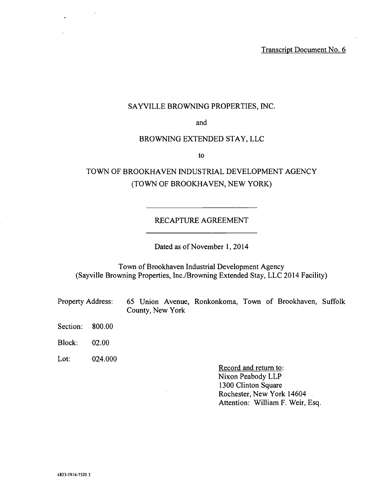## SAYVILLE BROWNING PROPERTIES, INC.

and

### BROWNING EXTENDED STAY, LLC

to

# TOWN OF BROOKHAVEN INDUSTRIAL DEVELOPMENT AGENCY (TOWN OF BROOKHAVEN, NEW YORK)

#### RECAPTURE AGREEMENT

Dated as of November 1, 2014

Town of Brookhaven Industrial Development Agency (Sayville Browning Properties, Inc. /Browning Extended Stay, LLC 2014 Facility)

Property Address: 65 Union Avenue, Ronkonkoma, Town of Brookhaven, Suffolk County, New York

Section: 800.00

Block: 02.00

Lot: 024.000

Record and return to: Nixon Peabody LLP 1300 Clinton Square Rochester, New York 14604 Attention: William F. Weir, Esq.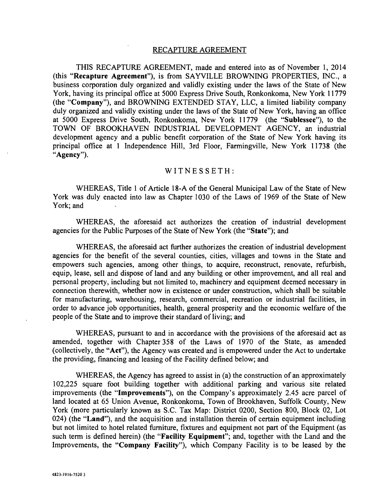#### RECAPTURE AGREEMENT

THIS RECAPTURE AGREEMENT, made and entered into as of November 1, 2014 (this "Recapture Agreement"), is from SAYVILLE BROWNING PROPERTIES, INC., a business corporation duly organized and validly existing under the laws of the State of New York, having its principal office at 5000 Express Drive South, Ronkonkoma, New York 11779 (the "Company "), and BROWNING EXTENDED STAY, LLC, a limited liability company duly organized and validly existing under the laws of the State of New York, having an office at 5000 Express Drive South, Ronkonkoma, New York 11779 (the "Sublessee"), to the TOWN OF BROOKHAVEN INDUSTRIAL DEVELOPMENT AGENCY, an industrial development agency and a public benefit corporation of the State of New York having its principal office at 1 Independence Hill, 3rd Floor, Farmingville, New York 11738 (the "Agency").

#### WITNESSETH:

WHEREAS, Title 1 of Article 18 -A of the General Municipal Law of the State of New York was duly enacted into law as Chapter 1030 of the Laws of 1969 of the State of New York; and

WHEREAS, the aforesaid act authorizes the creation of industrial development agencies for the Public Purposes of the State of New York (the "State "); and

WHEREAS, the aforesaid act further authorizes the creation of industrial development agencies for the benefit of the several counties, cities, villages and towns in the State and empowers such agencies, among other things, to acquire, reconstruct, renovate, refurbish, equip, lease, sell and dispose of land and any building or other improvement, and all real and personal property, including but not limited to, machinery and equipment deemed necessary in connection therewith, whether now in existence or under construction, which shall be suitable for manufacturing, warehousing, research, commercial, recreation or industrial facilities, in order to advance job opportunities, health, general prosperity and the economic welfare of the people of the State and to improve their standard of living; and

WHEREAS, pursuant to and in accordance with the provisions of the aforesaid act as amended, together with Chapter 358 of the Laws of 1970 of the State, as amended (collectively, the "Act "), the Agency was created and is empowered under the Act to undertake the providing, financing and leasing of the Facility defined below; and

WHEREAS, the Agency has agreed to assist in (a) the construction of an approximately 102,225 square foot building together with additional parking and various site related improvements (the "Improvements"), on the Company's approximately 2.45 acre parcel of land located at 65 Union Avenue, Ronkonkoma, Town of Brookhaven, Suffolk County, New York (more particularly known as S.C. Tax Map: District 0200, Section 800, Block 02, Lot 024) (the "Land"), and the acquisition and installation therein of certain equipment including but not limited to hotel related furniture, fixtures and equipment not part of the Equipment (as such term is defined herein) (the "Facility Equipment"; and, together with the Land and the Improvements, the "Company Facility"), which Company Facility is to be leased by the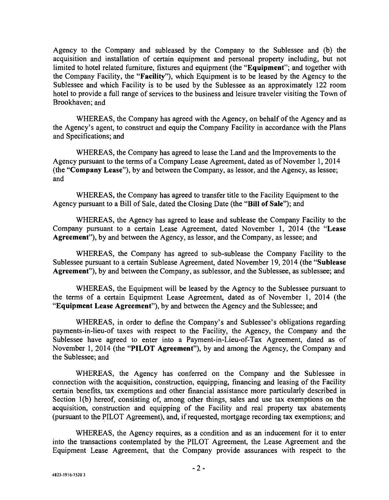Agency to the Company and subleased by the Company to the Sublessee and (b) the acquisition and installation of certain equipment and personal property including, but not limited to hotel related furniture, fixtures and equipment (the "Equipment"; and together with the Company Facility, the "Facility"), which Equipment is to be leased by the Agency to the Sublessee and which Facility is to be used by the Sublessee as an approximately 122 room hotel to provide a full range of services to the business and leisure traveler visiting the Town of Brookhaven; and

WHEREAS, the Company has agreed with the Agency, on behalf of the Agency and as the Agency's agent, to construct and equip the Company Facility in accordance with the Plans and Specifications; and

WHEREAS, the Company has agreed to lease the Land and the Improvements to the Agency pursuant to the terms of a Company Lease Agreement, dated as of November 1, 2014 (the "Company Lease"), by and between the Company, as lessor, and the Agency, as lessee; and

WHEREAS, the Company has agreed to transfer title to the Facility Equipment to the Agency pursuant to a Bill of Sale, dated the Closing Date (the "Bill of Sale "); and

WHEREAS, the Agency has agreed to lease and sublease the Company Facility to the Company pursuant to a certain Lease Agreement, dated November 1, 2014 (the "Lease Agreement"), by and between the Agency, as lessor, and the Company, as lessee; and

WHEREAS, the Company has agreed to sub -sublease the Company Facility to the Sublessee pursuant to a certain Sublease Agreement, dated November 19, 2014 (the "Sublease Agreement"), by and between the Company, as sublessor, and the Sublessee, as sublessee; and

WHEREAS, the Equipment will be leased by the Agency to the Sublessee pursuant to the terms of a certain Equipment Lease Agreement, dated as of November 1, 2014 (the "Equipment Lease Agreement"), by and between the Agency and the Sublessee; and

WHEREAS, in order to define the Company's and Sublessee's obligations regarding payments -in- lieu -of taxes with respect to the Facility, the Agency, the Company and the Sublessee have agreed to enter into a Payment-in-Lieu-of-Tax Agreement, dated as of November 1, 2014 (the "PILOT Agreement"), by and among the Agency, the Company and the Sublessee; and

WHEREAS, the Agency has conferred on the Company and the Sublessee in connection with the acquisition, construction, equipping, financing and leasing of the Facility certain benefits, tax exemptions and other financial assistance more particularly described in Section 1(b) hereof, consisting of, among other things, sales and use tax exemptions on the acquisition, construction and equipping of the Facility and real property tax abatements (pursuant to the PILOT Agreement), and, if requested, mortgage recording tax exemptions; and

WHEREAS, the Agency requires, as a condition and as an inducement for it to enter into the transactions contemplated by the PILOT Agreement, the Lease Agreement and the Equipment Lease Agreement, that the Company provide assurances with respect to the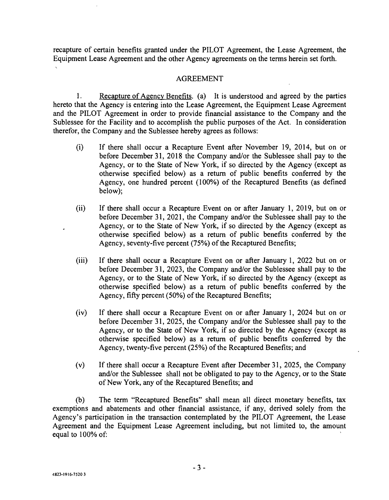recapture of certain benefits granted under the PILOT Agreement, the Lease Agreement, the Equipment Lease Agreement and the other Agency agreements on the terms herein set forth.

## AGREEMENT

1. Recapture of Agency Benefits. (a) It is understood and agreed by the parties hereto that the Agency is entering into the Lease Agreement, the Equipment Lease Agreement and the PILOT Agreement in order to provide financial assistance to the Company and the Sublessee for the Facility and to accomplish the public purposes of the Act. In consideration therefor, the Company and the Sublessee hereby agrees as follows:

- (i) If there shall occur a Recapture Event after November 19, 2014, but on or before December 31, 2018 the Company and/or the Sublessee shall pay to the Agency, or to the State of New York, if so directed by the Agency (except as otherwise specified below) as a return of public benefits conferred by the Agency, one hundred percent (100%) of the Recaptured Benefits (as defined below);
- (ii) If there shall occur a Recapture Event on or after January 1, 2019, but on or before December 31, 2021, the Company and/or the Sublessee shall pay to the Agency, or to the State of New York, if so directed by the Agency (except as otherwise specified below) as a return of public benefits conferred by the Agency, seventy-five percent (75%) of the Recaptured Benefits;
- (iii) If there shall occur a Recapture Event on or after January 1, 2022 but on or before December 31, 2023, the Company and/or the Sublessee shall pay to the Agency, or to the State of New York, if so directed by the Agency (except as otherwise specified below) as a return of public benefits conferred by the Agency, fifty percent  $(50\%)$  of the Recaptured Benefits;
- (iv) If there shall occur a Recapture Event on or after January 1, 2024 but on or before December 31, 2025, the Company and/or the Sublessee shall pay to the Agency, or to the State of New York, if so directed by the Agency (except as otherwise specified below) as a return of public benefits conferred by the Agency, twenty-five percent (25%) of the Recaptured Benefits; and
- (v) If there shall occur a Recapture Event after December 31, 2025, the Company and/or the Sublessee shall not be obligated to pay to the Agency, or to the State of New York, any of the Recaptured Benefits; and

(b) The term "Recaptured Benefits" shall mean all direct monetary benefits, tax exemptions and abatements and other financial assistance, if any, derived solely from the Agency's participation in the transaction contemplated by the PILOT Agreement, the Lease Agreement and the Equipment Lease Agreement including, but not limited to, the amount equal to 100% of: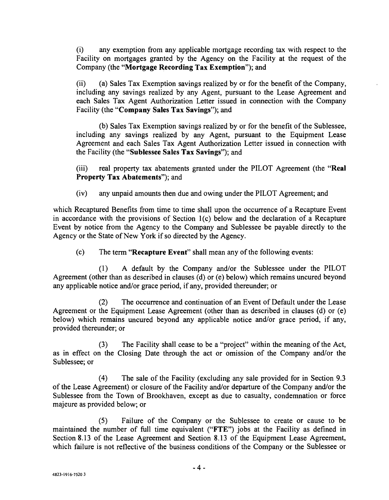(i) any exemption from any applicable mortgage recording tax with respect to the Facility on mortgages granted by the Agency on the Facility at the request of the Company (the "Mortgage Recording Tax Exemption"); and

(ii) (a) Sales Tax Exemption savings realized by or for the benefit of the Company, including any savings realized by any Agent, pursuant to the Lease Agreement and each Sales Tax Agent Authorization Letter issued in connection with the Company Facility (the "Company Sales Tax Savings"); and

(b) Sales Tax Exemption savings realized by or for the benefit of the Sublessee, including any savings realized by any Agent, pursuant to the Equipment Lease Agreement and each Sales Tax Agent Authorization Letter issued in connection with the Facility (the "Sublessee Sales Tax Savings"); and

(iii) real property tax abatements granted under the PILOT Agreement (the "Real Property Tax Abatements"); and

(iv) any unpaid amounts then due and owing under the PILOT Agreement; and

which Recaptured Benefits from time to time shall upon the occurrence of a Recapture Event in accordance with the provisions of Section 1(c) below and the declaration of a Recapture Event by notice from the Agency to the Company and Sublessee be payable directly to the Agency or the State of New York if so directed by the Agency.

(c) The term "Recapture Event" shall mean any of the following events:

(1) A default by the Company and /or the Sublessee under the PILOT Agreement (other than as described in clauses (d) or (e) below) which remains uncured beyond any applicable notice and /or grace period, if any, provided thereunder; or

(2) The occurrence and continuation of an Event of Default under the Lease Agreement or the Equipment Lease Agreement (other than as described in clauses (d) or (e) below) which remains uncured beyond any applicable notice and/or grace period, if any, provided thereunder; or

(3) The Facility shall cease to be a "project" within the meaning of the Act, as in effect on the Closing Date through the act or omission of the Company and/or the Sublessee; or

(4) The sale of the Facility (excluding any sale provided for in Section 9.3 of the Lease Agreement) or closure of the Facility and/or departure of the Company and/or the Sublessee from the Town of Brookhaven, except as due to casualty, condemnation or force majeure as provided below; or

(5) Failure of the Company or the Sublessee to create or cause to be maintained the number of full time equivalent ("FTE") jobs at the Facility as defined in Section 8.13 of the Lease Agreement and Section 8.13 of the Equipment Lease Agreement, which failure is not reflective of the business conditions of the Company or the Sublessee or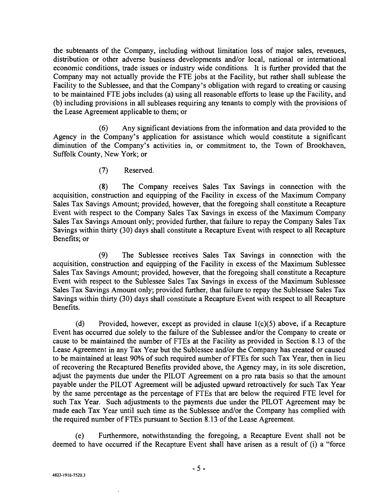the subtenants of the Company, including without limitation loss of major sales, revenues, distribution or other adverse business developments and/or local, national or international economic conditions, trade issues or industry wide conditions. It is further provided that the Company may not actually provide the FTE jobs at the Facility, but rather shall sublease the Facility to the Sublessee, and that the Company's obligation with regard to creating or causing to be maintained FTE jobs includes (a) using all reasonable efforts to lease up the Facility, and (b) including provisions in all subleases requiring any tenants to comply with the provisions of the Lease Agreement applicable to them; or

(6) Any significant deviations from the information and data provided to the Agency in the Company's application for assistance which would constitute a significant diminution of the Company's activities in, or commitment to, the Town of Brookhaven, Suffolk County, New York; or

(7) Reserved.

(8) The Company receives Sales Tax Savings in connection with the acquisition, construction and equipping of the Facility in excess of the Maximum Company Sales Tax Savings Amount; provided, however, that the foregoing shall constitute a Recapture Event with respect to the Company Sales Tax Savings in excess of the Maximum Company Sales Tax Savings Amount only; provided further, that failure to repay the Company Sales Tax Savings within thirty (30) days shall constitute a Recapture Event with respect to all Recapture Benefits; or

(9) The Sublessee receives Sales Tax Savings in connection with the acquisition, construction and equipping of the Facility in excess of the Maximum Sublessee Sales Tax Savings Amount; provided, however, that the foregoing shall constitute a Recapture Event with respect to the Sublessee Sales Tax Savings in excess of the Maximum Sublessee Sales Tax Savings Amount only; provided further, that failure to repay the Sublessee Sales Tax Savings within thirty (30) days shall constitute a Recapture Event with respect to all Recapture Benefits.

(d) Provided, however, except as provided in clause 1(c)(5) above, if a Recapture Event has occurred due solely to the failure of the Sublessee and/or the Company to create or cause to be maintained the number of FTEs at the Facility as provided in Section 8.13 of the Lease Agreement in any Tax Year but the Sublessee and/or the Company has created or caused to be maintained at least 90% of such required number of FTEs for such Tax Year, then in lieu of recovering the Recaptured Benefits provided above, the Agency may, in its sole discretion, adjust the payments due under the PILOT Agreement on a pro rata basis so that the amount payable under the PILOT Agreement will be adjusted upward retroactively for such Tax Year by the same percentage as the percentage of FTEs that are below the required FTE level for such Tax Year. Such adjustments to the payments due under the PILOT Agreement may be made each Tax Year until such time as the Sublessee and/or the Company has complied with the required number of FTEs pursuant to Section 8.13 of the Lease Agreement.

(e) Furthermore, notwithstanding the foregoing, a Recapture Event shall not be deemed to have occurred if the Recapture Event shall have arisen as a result of (i) a "force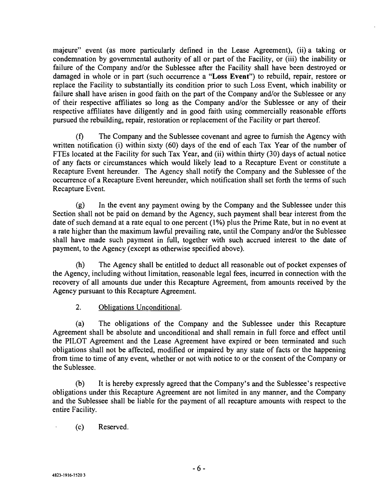majeure" event (as more particularly defined in the Lease Agreement), (ii) a taking or condemnation by governmental authority of all or part of the Facility, or (iii) the inability or failure of the Company and/or the Sublessee after the Facility shall have been destroyed or damaged in whole or in part (such occurrence a "Loss Event") to rebuild, repair, restore or replace the Facility to substantially its condition prior to such Loss Event, which inability or failure shall have arisen in good faith on the part of the Company and/or the Sublessee or any of their respective affiliates so long as the Company and/or the Sublessee or any of their respective affiliates have diligently and in good faith using commercially reasonable efforts pursued the rebuilding, repair, restoration or replacement of the Facility or part thereof.

(f) The Company and the Sublessee covenant and agree to furnish the Agency with written notification (i) within sixty (60) days of the end of each Tax Year of the number of FTEs located at the Facility for such Tax Year, and (ii) within thirty (30) days of actual notice of any facts or circumstances which would likely lead to a Recapture Event or constitute a Recapture Event hereunder. The Agency shall notify the Company and the Sublessee of the occurrence of a Recapture Event hereunder, which notification shall set forth the terms of such Recapture Event.

(g) In the event any payment owing by the Company and the Sublessee under this Section shall not be paid on demand by the Agency, such payment shall bear interest from the date of such demand at a rate equal to one percent (1%) plus the Prime Rate, but in no event at a rate higher than the maximum lawful prevailing rate, until the Company and/or the Sublessee shall have made such payment in full, together with such accrued interest to the date of payment, to the Agency (except as otherwise specified above).

(h) The Agency shall be entitled to deduct all reasonable out of pocket expenses of the Agency, including without limitation, reasonable legal fees, incurred in connection with the recovery of all amounts due under this Recapture Agreement, from amounts received by the Agency pursuant to this Recapture Agreement.

2. Obligations Unconditional.

(a) The obligations of the Company and the Sublessee under this Recapture Agreement shall be absolute and unconditional and shall remain in full force and effect until the PILOT Agreement and the Lease Agreement have expired or been terminated and such obligations shall not be affected, modified or impaired by any state of facts or the happening from time to time of any event, whether or not with notice to or the consent of the Company or the Sublessee.

(b) It is hereby expressly agreed that the Company's and the Sublessee's respective obligations under this Recapture Agreement are not limited in any manner, and the Company and the Sublessee shall be liable for the payment of all recapture amounts with respect to the entire Facility.

(c) Reserved.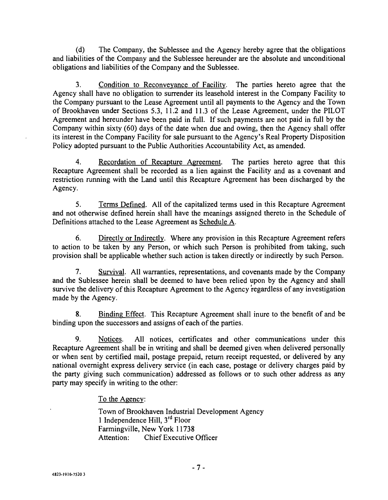(d) The Company, the Sublessee and the Agency hereby agree that the obligations and liabilities of the Company and the Sublessee hereunder are the absolute and unconditional obligations and liabilities of the Company and the Sublessee.

3. Condition to Reconveyance of Facility. The parties hereto agree that the Agency shall have no obligation to surrender its leasehold interest in the Company Facility to the Company pursuant to the Lease Agreement until all payments to the Agency and the Town of Brookhaven under Sections 5.3, 11.2 and 11.3 of the Lease Agreement, under the PILOT Agreement and hereunder have been paid in full. If such payments are not paid in full by the Company within sixty (60) days of the date when due and owing, then the Agency shall offer its interest in the Company Facility for sale pursuant to the Agency's Real Property Disposition Policy adopted pursuant to the Public Authorities Accountability Act, as amended.

4. Recordation of Recapture Agreement. The parties hereto agree that this Recapture Agreement shall be recorded as a lien against the Facility and as a covenant and restriction running with the Land until this Recapture Agreement has been discharged by the Agency.

5. Terms Defined. All of the capitalized terms used in this Recapture Agreement and not otherwise defined herein shall have the meanings assigned thereto in the Schedule of Definitions attached to the Lease Agreement as Schedule A.

6. Directly or Indirectly. Where any provision in this Recapture Agreement refers to action to be taken by any Person, or which such Person is prohibited from taking, such provision shall be applicable whether such action is taken directly or indirectly by such Person.

7. Survival. All warranties, representations, and covenants made by the Company and the Sublessee herein shall be deemed to have been relied upon by the Agency and shall survive the delivery of this Recapture Agreement to the Agency regardless of any investigation made by the Agency.

8. Binding Effect. This Recapture Agreement shall inure to the benefit of and be binding upon the successors and assigns of each of the parties.

9. Notices. All notices, certificates and other communications under this Recapture Agreement shall be in writing and shall be deemed given when delivered personally or when sent by certified mail, postage prepaid, return receipt requested, or delivered by any national overnight express delivery service (in each case, postage or delivery charges paid by the party giving such communication) addressed as follows or to such other address as any party may specify in writing to the other:

To the Agency:

Town of Brookhaven Industrial Development Agency <sup>1</sup>Independence Hill, 3rd Floor Farmingville, New York 11738 Attention: Chief Executive Officer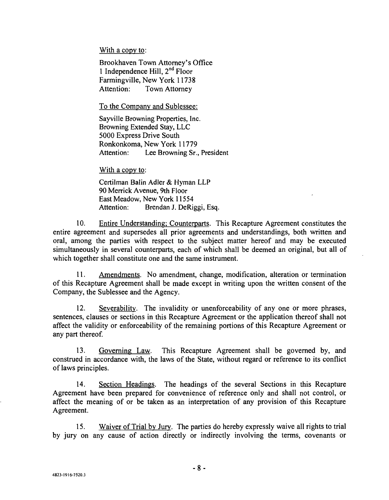With a copy to:

Brookhaven Town Attorney's Office 1 Independence Hill, 2<sup>nd</sup> Floor Farmingville, New York 11738 Attention: Town Attorney

To the Company and Sublessee:

Sayville Browning Properties, Inc. Browning Extended Stay, LLC 5000 Express Drive South Ronkonkoma, New York 11779 Attention: Lee Browning Sr., President

With a copy to:

Certilman Balin Adler & Hyman LLP 90 Merrick Avenue, 9th Floor East Meadow, New York 11554 Attention: Brendan J. DeRiggi, Esq.

10. Entire Understanding; Counterparts. This Recapture Agreement constitutes the entire agreement and supersedes all prior agreements and understandings, both written and oral, among the parties with respect to the subject matter hereof and may be executed simultaneously in several counterparts, each of which shall be deemed an original, but all of which together shall constitute one and the same instrument.

11. Amendments. No amendment, change, modification, alteration or termination of this Recapture Agreement shall be made except in writing upon the written consent of the Company, the Sublessee and the Agency.

12. Severability. The invalidity or unenforceability of any one or more phrases, sentences, clauses or sections in this Recapture Agreement or the application thereof shall not affect the validity or enforceability of the remaining portions of this Recapture Agreement or any part thereof.

13. Governing Law. This Recapture Agreement shall be governed by, and construed in accordance with, the laws of the State, without regard or reference to its conflict of laws principles.

14. Section Headings. The headings of the several Sections in this Recapture Agreement have been prepared for convenience of reference only and shall not control, or affect the meaning of or be taken as an interpretation of any provision of this Recapture Agreement.

15. Waiver of Trial by Jury. The parties do hereby expressly waive all rights to trial by jury on any cause of action directly or indirectly involving the terms, covenants or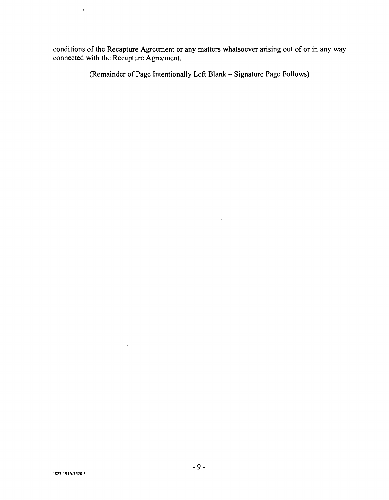conditions of the Recapture Agreement or any matters whatsoever arising out of or in any way connected with the Recapture Agreement.

 $\sim$ 

(Remainder of Page Intentionally Left Blank - Signature Page Follows)

 $\bar{a}$ 

 $\epsilon$ 

 $\sim 10^{11}$  km  $^{-1}$ 

 $\sim 10^{-11}$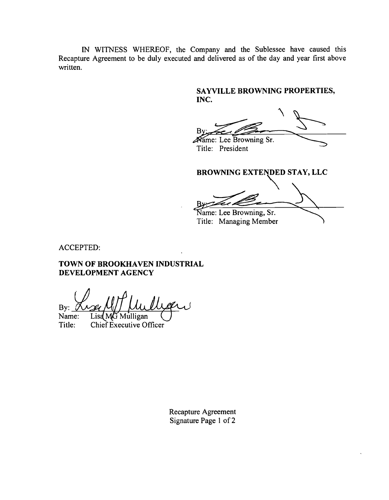IN WITNESS WHEREOF, the Company and the Sublessee have caused this Recapture Agreement to be duly executed and delivered as of the day and year first above written.

# SAYVILLE BROWNING PROPERTIES, INC.

B ame: Lee Browning Sr.

Title: President

BROWNING EXTENDED STAY, LLC

Name: Lee Browning, Sr.

Title: Managing Member

ACCEPTED:

TOWN OF BROOKHAVEN INDUSTRIAL DEVELOPMENT AGENCY

By:

Name: Title:  $List M\widetilde{G}$  Mulligan Chief Executive Officer

> Recapture Agreement Signature Page 1 of 2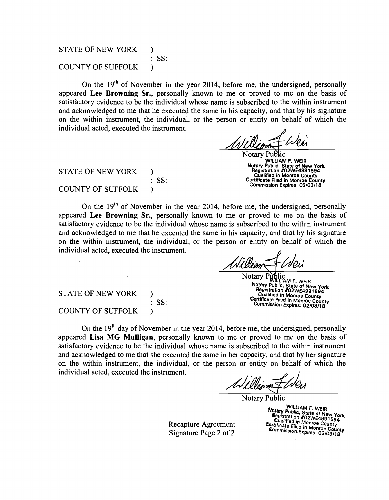#### STATE OF NEW YORK COUNTY OF SUFFOLK ) : SS: )

On the  $19<sup>th</sup>$  of November in the year 2014, before me, the undersigned, personally appeared Lee Browning Sr., personally known to me or proved to me on the basis of satisfactory evidence to be the individual whose name is subscribed to the within instrument and acknowledged to me that he executed the same in his capacity, and that by his signature on the within instrument, the individual, or the person or entity on behalf of which the individual acted, executed the instrument.

Notary Public WILLIAM F. WEIR Notary Public, State of New York Registration #02WE4991594 Qualified in Monroe County Certificate Filed in Monroe County Commission Expires: 02/03/18

STATE OF NEW YORK COUNTY OF SUFFOLK ) : SS: )

On the  $19<sup>th</sup>$  of November in the year 2014, before me, the undersigned, personally appeared Lee Browning Sr., personally known to me or proved to me on the basis of satisfactory evidence to be the individual whose name is subscribed to the within instrument and acknowledged to me that he executed the same in his capacity, and that by his signature on the within instrument, the individual, or the person or entity on behalf of which the individual acted, executed the instrument.

Notary Public<br>Notary Public, State of New York<br>Registration #02WE4991594<br>Qualified in Monroe County Qualified in Monroe County Certificate Filed in Monroe County Commission Expires: 02/03/18

STATE OF NEW YORK COUNTY OF SUFFOLK ) : SS:  $\mathcal{F}$ 

On the  $19<sup>th</sup>$  day of November in the year 2014, before me, the undersigned, personally appeared Lisa MG Mulligan, personally known to me or proved to me on the basis of satisfactory evidence to be the individual whose name is subscribed to the within instrument and acknowledged to me that she executed the same in her capacity, and that by her signature on the within instrument, the individual, or the person or entity on behalf of which the individual acted, executed the instrument.

Notary Public

Recapture Agreement Signature Page 2 of 2

Notary Public, State of New York<br> **Expiration #02WE4991594**<br>
Qualified in Monroe County<br>
Certificate Filed in Monroe County<br>
Commission Expires: 02/03/18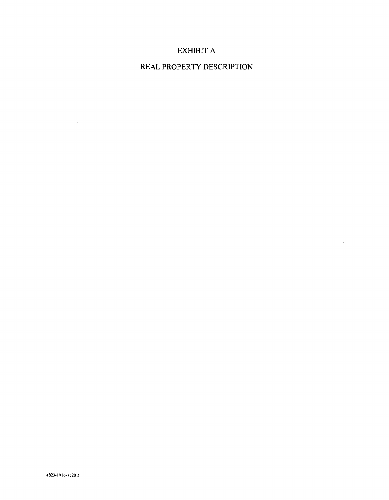# EXHIBIT A

# REAL PROPERTY DESCRIPTION

 $\overline{a}$ 

 $\ddot{\phantom{a}}$ 

 $\mathcal{L}^{\text{max}}_{\text{max}}$  , where  $\mathcal{L}^{\text{max}}_{\text{max}}$  $\sim 10^{11}$ 

 $\mathcal{L}^{\text{max}}_{\text{max}}$  , where  $\mathcal{L}^{\text{max}}_{\text{max}}$ 

 $\mathcal{L}^{\text{max}}_{\text{max}}$  ,  $\mathcal{L}^{\text{max}}_{\text{max}}$